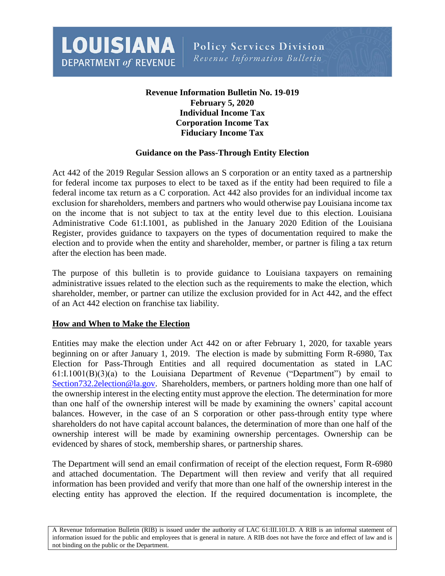**LOUISIANA DEPARTMENT of REVENUE** 

**Policy Services Division** Revenue Information Bulletin

# **Revenue Information Bulletin No. 19-019 February 5, 2020 Individual Income Tax Corporation Income Tax Fiduciary Income Tax**

### **Guidance on the Pass-Through Entity Election**

Act 442 of the 2019 Regular Session allows an S corporation or an entity taxed as a partnership for federal income tax purposes to elect to be taxed as if the entity had been required to file a federal income tax return as a C corporation. Act 442 also provides for an individual income tax exclusion for shareholders, members and partners who would otherwise pay Louisiana income tax on the income that is not subject to tax at the entity level due to this election. Louisiana Administrative Code 61:I.1001, as published in the January 2020 Edition of the Louisiana Register, provides guidance to taxpayers on the types of documentation required to make the election and to provide when the entity and shareholder, member, or partner is filing a tax return after the election has been made.

The purpose of this bulletin is to provide guidance to Louisiana taxpayers on remaining administrative issues related to the election such as the requirements to make the election, which shareholder, member, or partner can utilize the exclusion provided for in Act 442, and the effect of an Act 442 election on franchise tax liability.

### **How and When to Make the Election**

Entities may make the election under Act 442 on or after February 1, 2020, for taxable years beginning on or after January 1, 2019. The election is made by submitting Form R-6980, Tax Election for Pass-Through Entities and all required documentation as stated in LAC 61:I.1001(B)(3)(a) to the Louisiana Department of Revenue ("Department") by email to [Section732.2election@la.gov.](mailto:Section732.2election@la.gov) Shareholders, members, or partners holding more than one half of the ownership interest in the electing entity must approve the election. The determination for more than one half of the ownership interest will be made by examining the owners' capital account balances. However, in the case of an S corporation or other pass-through entity type where shareholders do not have capital account balances, the determination of more than one half of the ownership interest will be made by examining ownership percentages. Ownership can be evidenced by shares of stock, membership shares, or partnership shares.

The Department will send an email confirmation of receipt of the election request, Form R-6980 and attached documentation. The Department will then review and verify that all required information has been provided and verify that more than one half of the ownership interest in the electing entity has approved the election. If the required documentation is incomplete, the

A Revenue Information Bulletin (RIB) is issued under the authority of LAC 61:III.101.D. A RIB is an informal statement of information issued for the public and employees that is general in nature. A RIB does not have the force and effect of law and is not binding on the public or the Department.